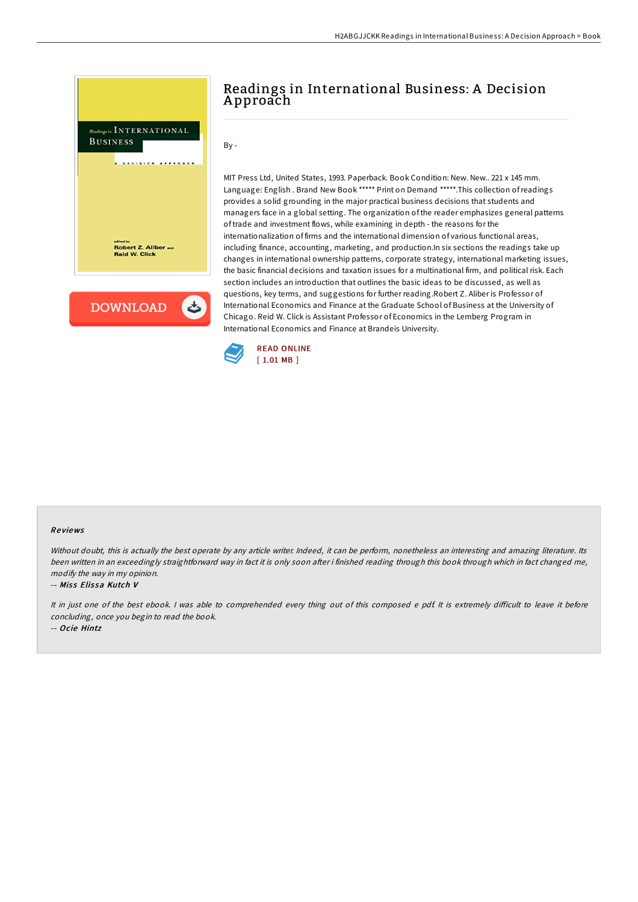

# Readings in International Business: A Decision A pproach

By -

MIT Press Ltd, United States, 1993. Paperback. Book Condition: New. New.. 221 x 145 mm. Language: English . Brand New Book \*\*\*\*\* Print on Demand \*\*\*\*\*.This collection ofreadings provides a solid grounding in the major practical business decisions that students and managers face in a global setting. The organization of the reader emphasizes general patterns of trade and investment flows, while examining in depth - the reasons for the internationalization of firms and the international dimension of various functional areas, including finance, accounting, marketing, and production.In six sections the readings take up changes in international ownership patterns, corporate strategy, international marketing issues, the basic financial decisions and taxation issues for a multinational firm, and political risk. Each section includes an introduction that outlines the basic ideas to be discussed, as well as questions, key terms, and suggestions for further reading.Robert Z. Aliber is Professor of International Economics and Finance at the Graduate School of Business at the University of Chicago. Reid W. Click is Assistant Professor of Economics in the Lemberg Program in International Economics and Finance at Brandeis University.



### Re views

Without doubt, this is actually the best operate by any article writer. Indeed, it can be perform, nonetheless an interesting and amazing literature. Its been written in an exceedingly straightforward way in fact it is only soon after i finished reading through this book through which in fact changed me, modify the way in my opinion.

#### -- Miss Elissa Kutch V

It in just one of the best ebook. I was able to comprehended every thing out of this composed e pdf. It is extremely difficult to leave it before concluding, once you begin to read the book.

-- Ocie Hintz